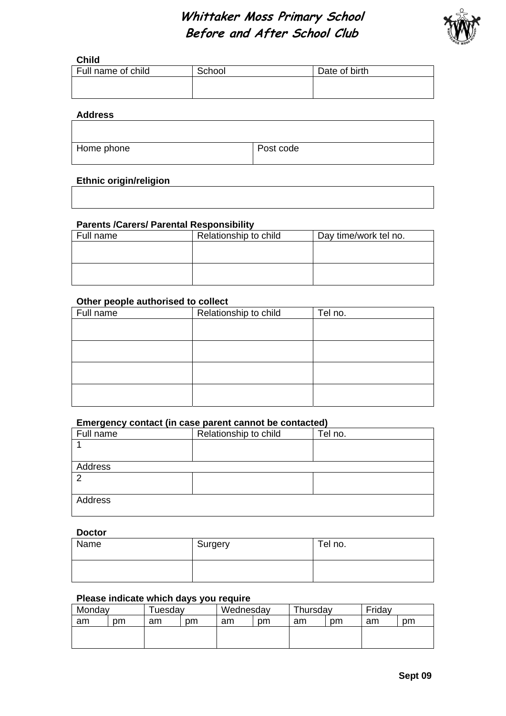# **Whittaker Moss Primary School Before and After School Club**



## **Child**

| Full name of child | School | Date of birth |
|--------------------|--------|---------------|
|                    |        |               |
|                    |        |               |

#### **Address**

| Home phone | Post code |
|------------|-----------|
|            |           |

# **Ethnic origin/religion**

### **Parents /Carers/ Parental Responsibility**

| Full name | Relationship to child | Day time/work tel no. |
|-----------|-----------------------|-----------------------|
|           |                       |                       |
|           |                       |                       |
|           |                       |                       |
|           |                       |                       |
|           |                       |                       |

#### **Other people authorised to collect**

| Full name | Relationship to child | Tel no. |
|-----------|-----------------------|---------|
|           |                       |         |
|           |                       |         |
|           |                       |         |
|           |                       |         |
|           |                       |         |
|           |                       |         |
|           |                       |         |
|           |                       |         |

#### **Emergency contact (in case parent cannot be contacted)**

| - <i>.</i> |                       |         |
|------------|-----------------------|---------|
| Full name  | Relationship to child | Tel no. |
|            |                       |         |
|            |                       |         |
| Address    |                       |         |
| ⌒          |                       |         |
|            |                       |         |
| Address    |                       |         |
|            |                       |         |

#### **Doctor**

| Name | Surgery | Tel no. |
|------|---------|---------|
|      |         |         |

# **Please indicate which days you require**

| Monday |    | uesdav |    | Wednesday |    | Thursday |    | Friday |    |
|--------|----|--------|----|-----------|----|----------|----|--------|----|
| am     | pm | am     | pm | am        | pm | am       | pm | am     | pm |
|        |    |        |    |           |    |          |    |        |    |
|        |    |        |    |           |    |          |    |        |    |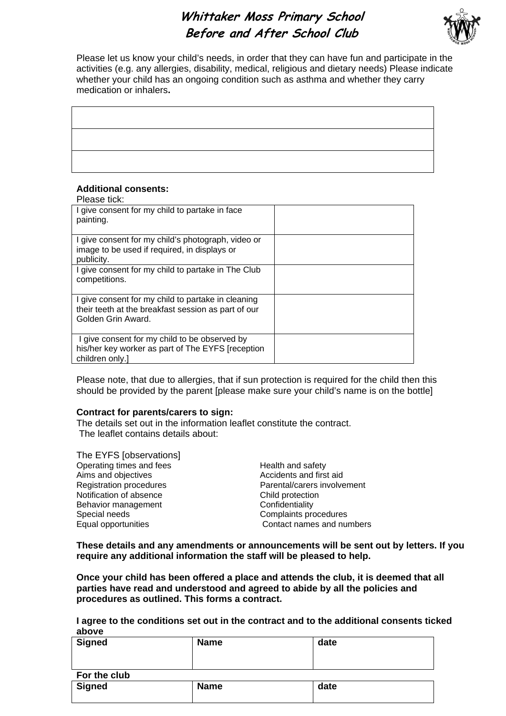# **Whittaker Moss Primary School Before and After School Club**



Please let us know your child's needs, in order that they can have fun and participate in the activities (e.g. any allergies, disability, medical, religious and dietary needs) Please indicate whether your child has an ongoing condition such as asthma and whether they carry medication or inhalers**.** 

## **Additional consents:**

| Please tick:                                                                                                                    |  |
|---------------------------------------------------------------------------------------------------------------------------------|--|
| I give consent for my child to partake in face<br>painting.                                                                     |  |
| I give consent for my child's photograph, video or<br>image to be used if required, in displays or<br>publicity.                |  |
| I give consent for my child to partake in The Club<br>competitions.                                                             |  |
| I give consent for my child to partake in cleaning<br>their teeth at the breakfast session as part of our<br>Golden Grin Award. |  |
| I give consent for my child to be observed by<br>his/her key worker as part of The EYFS [reception<br>children only.]           |  |

Please note, that due to allergies, that if sun protection is required for the child then this should be provided by the parent [please make sure your child's name is on the bottle]

#### **Contract for parents/carers to sign:**

The details set out in the information leaflet constitute the contract. The leaflet contains details about:

The EYFS [observations] Operating times and fees Health and safety Aims and objectives Accidents and first aid Registration procedures **Parental/carers involvement** Notification of absence Child protection Behavior management Confidentiality Special needs<br>
Equal opportunities<br>
Contact names and nur

Contact names and numbers

**These details and any amendments or announcements will be sent out by letters. If you require any additional information the staff will be pleased to help.** 

**Once your child has been offered a place and attends the club, it is deemed that all parties have read and understood and agreed to abide by all the policies and procedures as outlined. This forms a contract.** 

**I agree to the conditions set out in the contract and to the additional consents ticked above** 

| -----         |             |      |
|---------------|-------------|------|
| <b>Signed</b> | <b>Name</b> | date |
| For the club  |             |      |
| <b>Signed</b> | <b>Name</b> | date |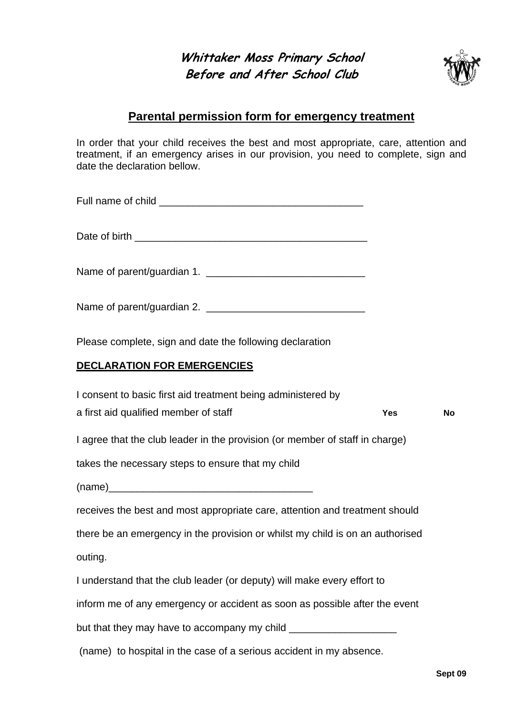**Whittaker Moss Primary School Before and After School Club** 



# **Parental permission form for emergency treatment**

In order that your child receives the best and most appropriate, care, attention and treatment, if an emergency arises in our provision, you need to complete, sign and date the declaration bellow.

| Full name of child |  |
|--------------------|--|
|--------------------|--|

Date of birth **Exercise 2.2** 

Name of parent/guardian 1. \_\_\_\_\_\_\_\_\_\_\_\_\_\_\_\_\_\_\_\_\_\_\_\_\_\_\_\_

Name of parent/guardian 2.

Please complete, sign and date the following declaration

# **DECLARATION FOR EMERGENCIES**

| I consent to basic first aid treatment being administered by                                    |            |    |
|-------------------------------------------------------------------------------------------------|------------|----|
| a first aid qualified member of staff                                                           | <b>Yes</b> | No |
| I agree that the club leader in the provision (or member of staff in charge)                    |            |    |
| takes the necessary steps to ensure that my child                                               |            |    |
|                                                                                                 |            |    |
| receives the best and most appropriate care, attention and treatment should                     |            |    |
| there be an emergency in the provision or whilst my child is on an authorised                   |            |    |
| outing.                                                                                         |            |    |
| I understand that the club leader (or deputy) will make every effort to                         |            |    |
| inform me of any emergency or accident as soon as possible after the event                      |            |    |
| but that they may have to accompany my child ___________________________________                |            |    |
| وسيحمل والمستحيل والمتحاول والمتحاول والمستحدث والمستحدث والمواطنة والمتحارب والمتحدث والمستحين |            |    |

(name) to hospital in the case of a serious accident in my absence.